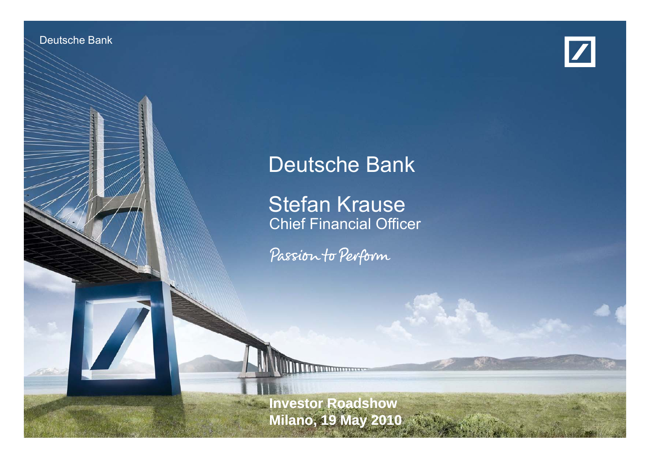Deutsche Banken Banken Investor Relations



# Deutsche Bank

**Stefan Krause**<br>Chief Financial Officer

Passion to Perform

**Investor Roadshow Milano, 19 May 2010**

19 May 2010 Stefan Krause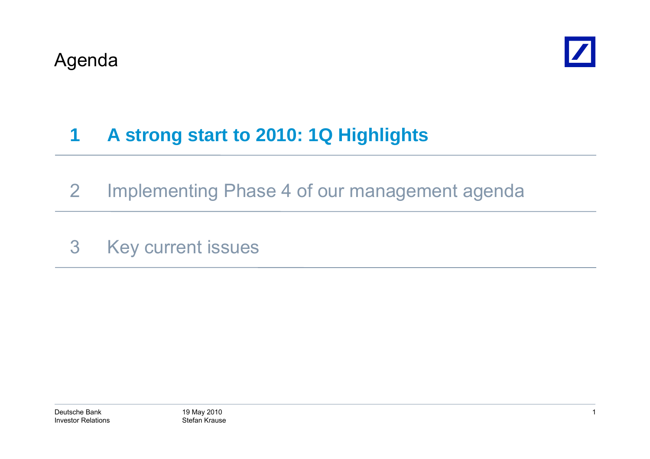

### **1A strong start to 2010: 1Q Highlights**

- 2 Implementing Phase 4 of our management agenda
- 3 Key current issues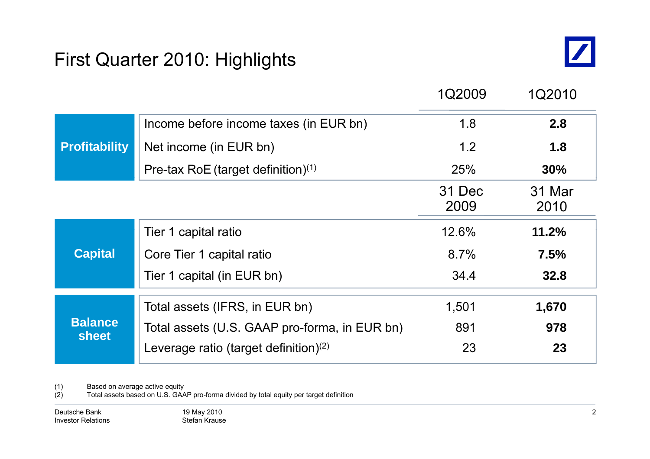### First Quarter 2010: Highlights



|                                |                                               | 1Q2009         | 1Q2010         |
|--------------------------------|-----------------------------------------------|----------------|----------------|
|                                | Income before income taxes (in EUR bn)        | 1.8            | 2.8            |
| <b>Profitability</b>           | Net income (in EUR bn)                        | 1.2            | 1.8            |
|                                | Pre-tax RoE (target definition) $(1)$         | <b>25%</b>     | 30%            |
|                                |                                               | 31 Dec<br>2009 | 31 Mar<br>2010 |
|                                | Tier 1 capital ratio                          | 12.6%          | 11.2%          |
| <b>Capital</b>                 | Core Tier 1 capital ratio                     | 8.7%           | 7.5%           |
|                                | Tier 1 capital (in EUR bn)                    | 34.4           | 32.8           |
|                                | Total assets (IFRS, in EUR bn)                | 1,501          | 1,670          |
| <b>Balance</b><br><b>sheet</b> | Total assets (U.S. GAAP pro-forma, in EUR bn) | 891            | 978            |
|                                | Leverage ratio (target definition) $(2)$      | 23             | 23             |

(1) Based on average active equity

(2) Total assets based on U.S. GAAP pro-forma divided by total equity per target definition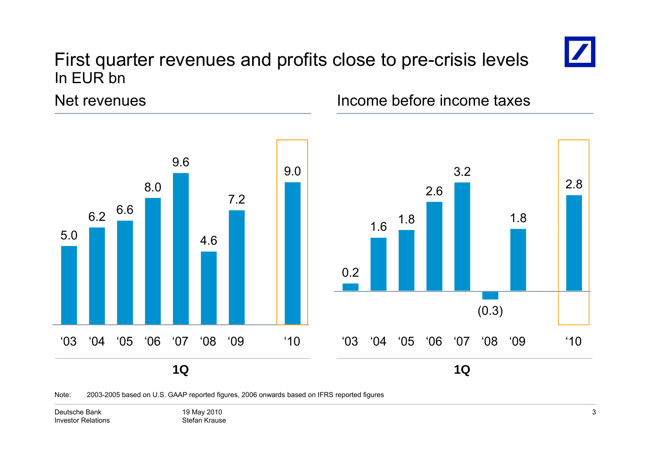### First quarter revenues and profits close to pre-crisis levels In EUR bn



2.8

1.8

(0.3)

Net revenues



## Income before income taxes

Note: 2003-2005 based on U.S. GAAP reported figures, 2006 onwards based on IFRS reported figures

Deutsche BankInvestor Relations 19 May 2010 Stefan Krause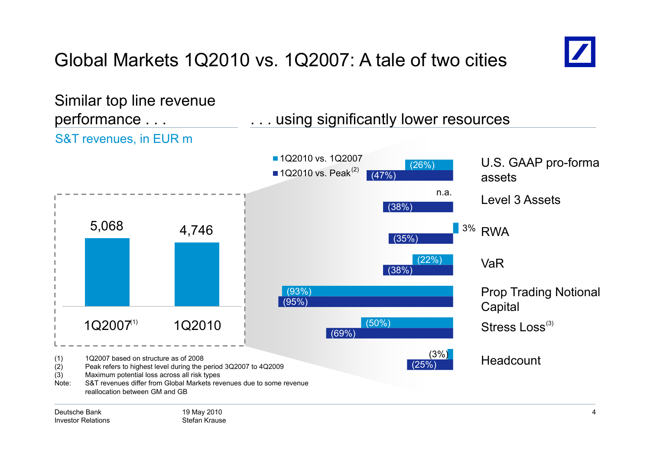# Global Markets 1Q2010 vs. 1Q2007: A tale of two cities



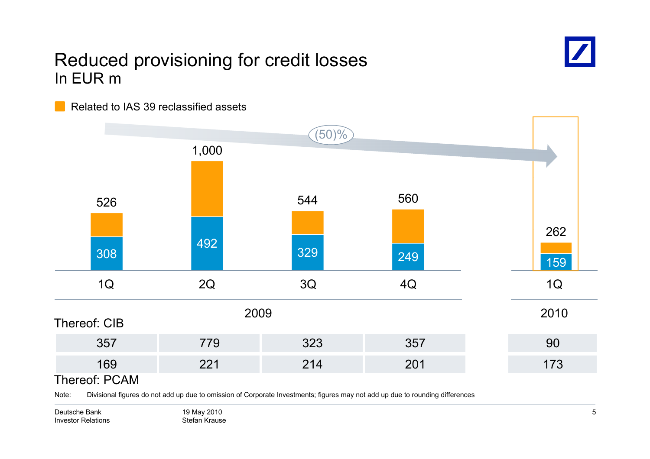### Reduced provisioning for credit losses In EUR m



Related to IAS 39 reclassified assets



Note: Divisional figures do not add up due to omission of Corporate Investments; figures may not add up due to rounding differences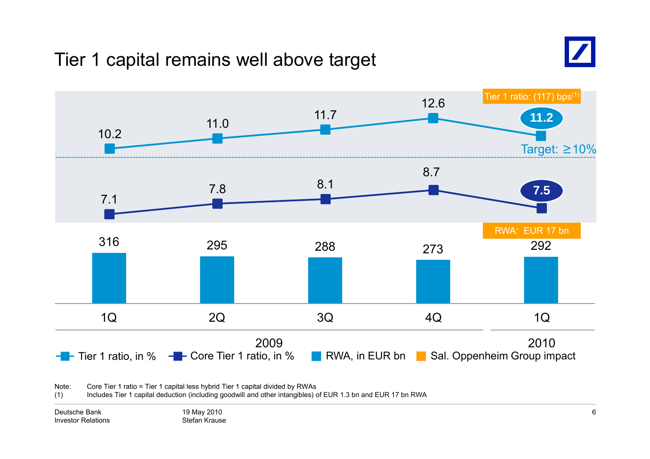### Tier 1 capital remains well above target





Note:: Core Tier 1 ratio = Tier 1 capital less hybrid Tier 1 capital divided by RWAs

(1) Includes Tier 1 capital deduction (including goodwill and other intangibles) of EUR 1.3 bn and EUR 17 bn RWA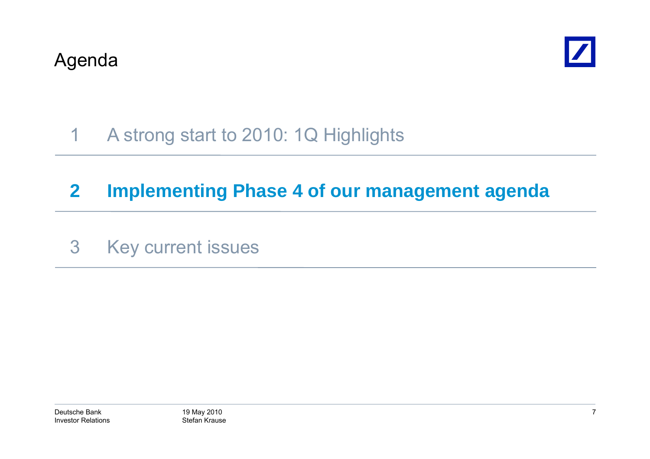

### 1A strong start to 2010: 1Q Highlights

# **2 Implementing Phase 4 of our management agenda**

3 Key current issues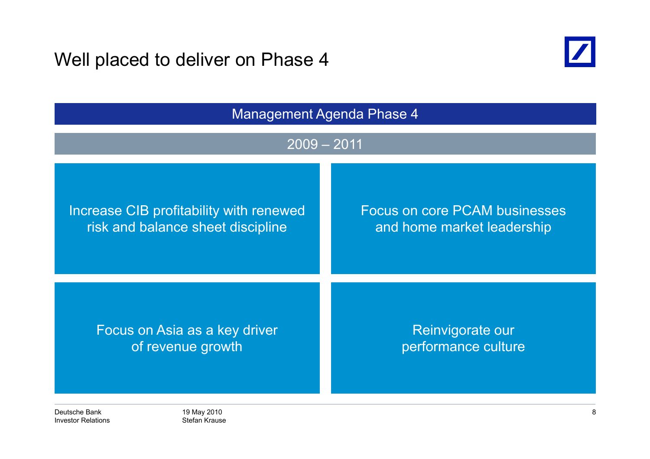Well placed to deliver on Phase 4



| <b>Management Agenda Phase 4</b>        |                                      |  |
|-----------------------------------------|--------------------------------------|--|
| $2009 - 2011$                           |                                      |  |
| Increase CIB profitability with renewed | <b>Focus on core PCAM businesses</b> |  |
| risk and balance sheet discipline       | and home market leadership           |  |
| Focus on Asia as a key driver           | Reinvigorate our                     |  |
| of revenue growth                       | performance culture                  |  |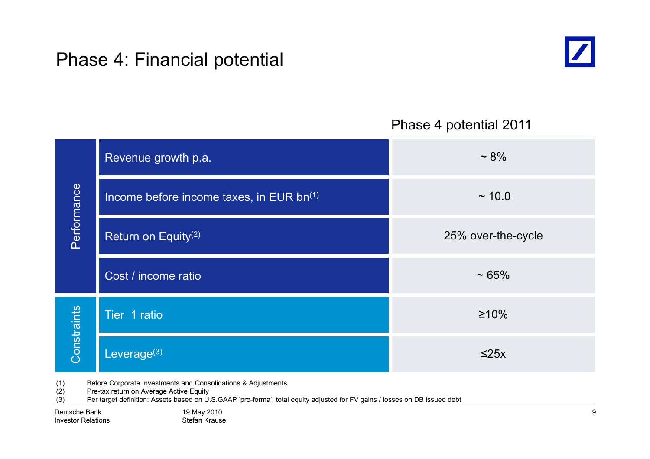### Phase 4: Financial potential



### Phase 4 potential 2011

| Revenue growth p.a.                      | $~1.8\%$           |
|------------------------------------------|--------------------|
| Income before income taxes, in EUR bn(1) | ~10.0              |
| Return on Equity <sup>(2)</sup>          | 25% over-the-cycle |
| Cost / income ratio                      | $~1.65\%$          |
| Tier 1 ratio                             | $\geq 10\%$        |
| Leverage $(3)$                           | $\leq$ 25x         |
|                                          |                    |

(1) Before Corporate Investments and Consolidations & Adjustments

(2) Pre-tax return on Average Active Equity

(3) Per target definition: Assets based on U.S.GAAP 'pro-forma'; total equity adjusted for FV gains / losses on DB issued debt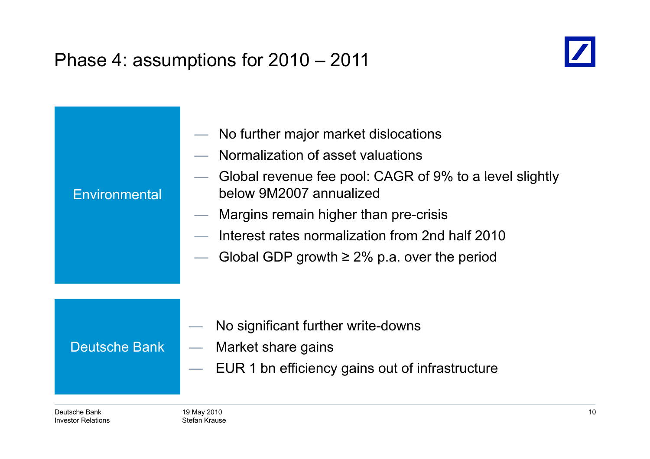## Phase 4: assumptions for 2010 – 2011



| Environmental | No further major market dislocations<br>Normalization of asset valuations<br>Global revenue fee pool: CAGR of 9% to a level slightly<br>below 9M2007 annualized<br>Margins remain higher than pre-crisis<br>$\overline{\phantom{a}}$<br>Interest rates normalization from 2nd half 2010<br>Global GDP growth $\geq$ 2% p.a. over the period |
|---------------|---------------------------------------------------------------------------------------------------------------------------------------------------------------------------------------------------------------------------------------------------------------------------------------------------------------------------------------------|
| Deutsche Bank | No significant further write-downs<br>Market share gains<br>$\hspace{0.1mm}-\hspace{0.1mm}$<br>EUR 1 bn efficiency gains out of infrastructure                                                                                                                                                                                              |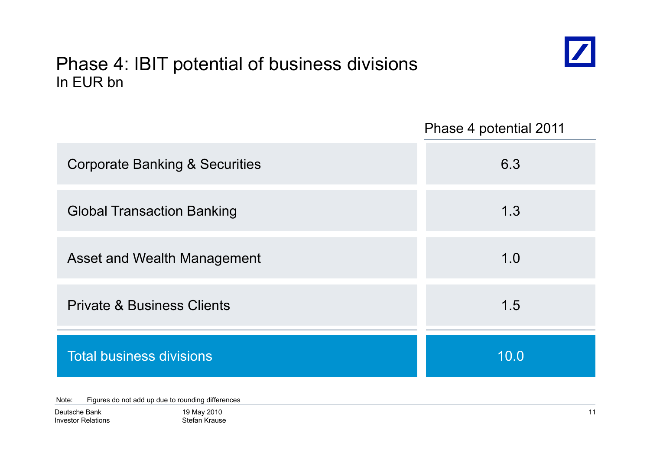### Phase 4: IBIT potential of business divisions In EUR bn



Phase 4 potential 2011

| <b>Corporate Banking &amp; Securities</b> | 6.3  |
|-------------------------------------------|------|
| <b>Global Transaction Banking</b>         | 1.3  |
| Asset and Wealth Management               | 1.0  |
| <b>Private &amp; Business Clients</b>     | 1.5  |
| <b>Total business divisions</b>           | 10.0 |

Note: Figures do not add up due to rounding differences

| Deutsche Bank             |
|---------------------------|
| <b>Investor Relations</b> |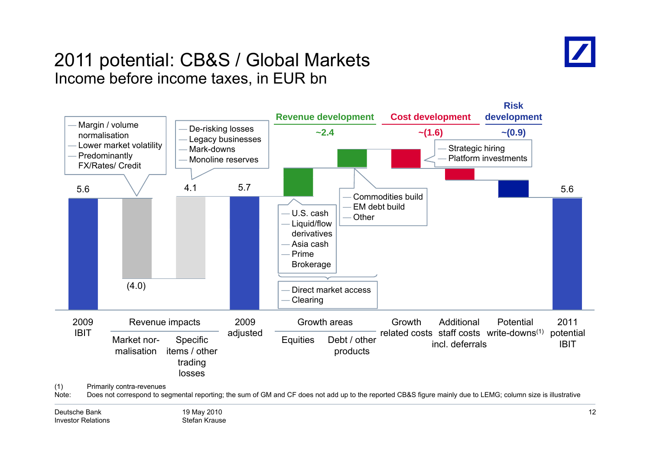

### 2011 potential: CB&S / Global Markets Income before income taxes, in EUR bn

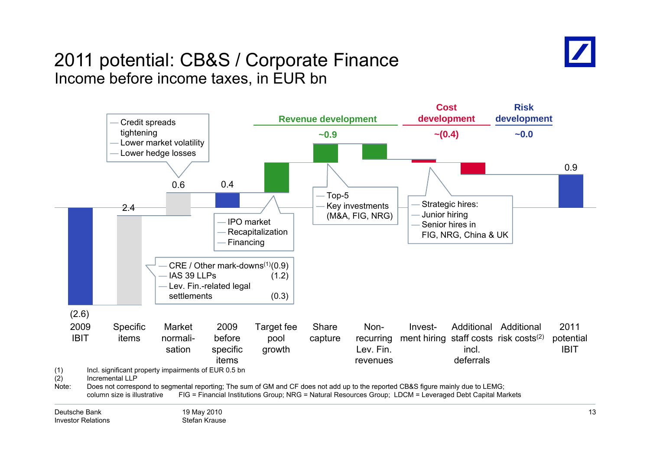

### 2011 potential: CB&S / Corporate Finance Income before income taxes, in EUR bn

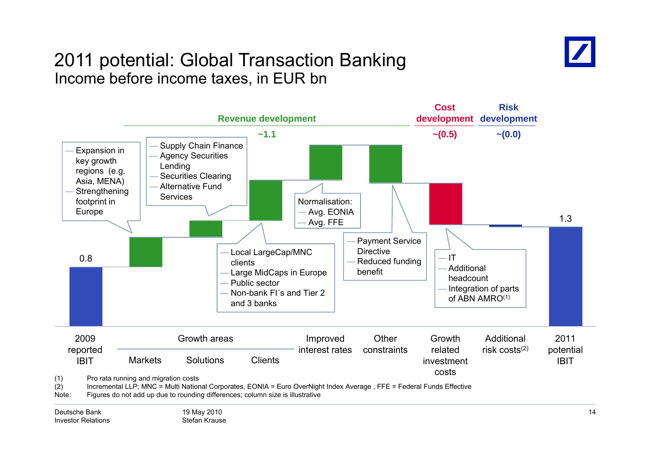

### 2011 potential: Global Transaction Banking Income before income taxes, in EUR bn

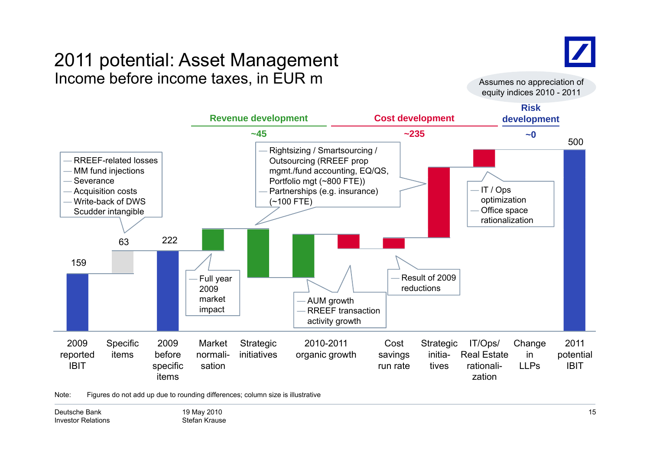### 2011 potential: Asset Management Income before income taxes, in EUR m  $\blacksquare$  assumes no appreciation of



equity indices 2010 - 2011



Note: Figures do not add up due to rounding differences; column size is illustrative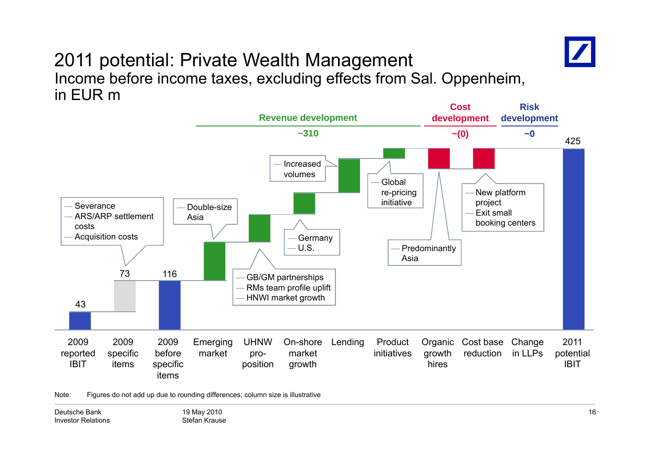

### 2011 potential: Private Wealth Management Income before income taxes, excluding effects from Sal. Oppenheim, in EUR m



Note: Figures do not add up due to rounding differences; column size is illustrative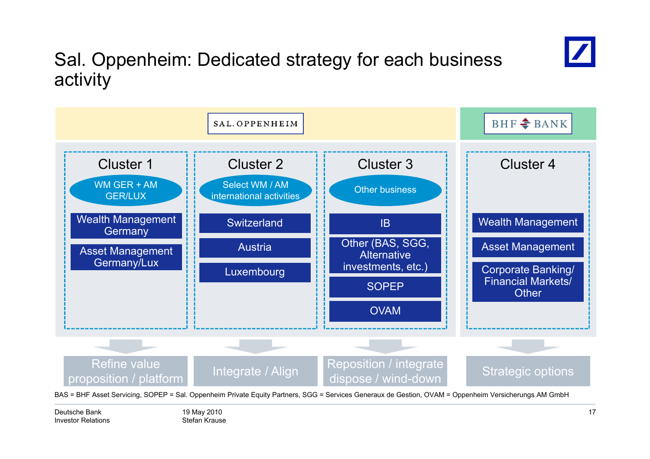

## Sal. Oppenheim: Dedicated strategy for each business activity

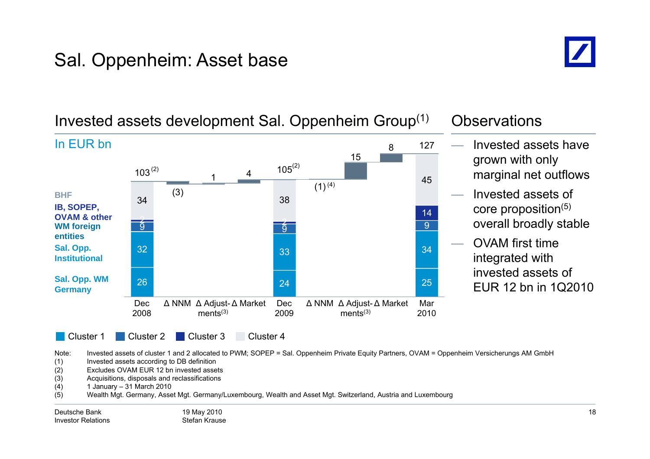## Sal. Oppenheim: Asset base



### 115 4845 $103^{(2)}$  $3^{(2)}$  105 127In EUR bn Invested assets have grown with only marginal net outflows (2) (2) 99  $\overline{9}$ 142 (3) 2  $(1)^{(4)}$ 34 38 **WM forei gn g IB, SOPEP, OVAM & otherBHF** Invested assets of core proposition(5) overall broadly stable 266 24 25 32 333<sup>3</sup> **Sal. Opp. WM entitiesSal. Opp. Institutional** OVAM first time integrated with invested assets of **Germany** and  $\overline{a}$  and  $\overline{a}$  and  $\overline{a}$  and  $\overline{a}$  and  $\overline{a}$  and  $\overline{a}$  and  $\overline{a}$  and  $\overline{a}$  and  $\overline{a}$  and  $\overline{a}$  and  $\overline{a}$  and  $\overline{a}$  and  $\overline{a}$  and  $\overline{a}$  and  $\overline{a}$  and  $\overline{a}$  and Cluster 1 Cluster Cluster 2 Dec 2008Δ NNM Δ Adjust-Δ Market Dec  $ments<sup>(3)</sup>$ 2009Δ NNM Δ Adjust-Δ Market Mar  $ments<sup>(3)</sup>$ 2010EUR 12 bn in 1Q2010 Cluster<sub>3</sub> Cluster<sub>4</sub>

### Invested assets development Sal. Oppenheim Group $^{\left(1\right)}$   $\;$  Observations

Note: Invested assets of cluster 1 and 2 allocated to PWM; SOPEP = Sal. Oppenheim Private Equity Partners, OVAM = Oppenheim Versicherungs AM GmbH

(1) Invested assets according to DB definition

(2) Excludes OVAM EUR 12 bn invested assets

(3) Acquisitions, disposals and reclassifications

(4) 1 January 31 March 2010 –

(5) Wealth Mgt. Germany, Asset Mgt. Germany/Luxembourg, Wealth and Asset Mgt. Switzerland, Austria and Luxembourg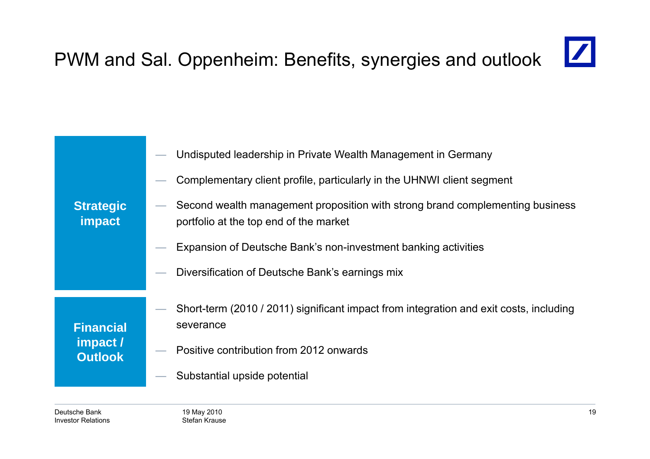### $\boxed{\mathbb{Z}}$ PWM and Sal. Oppenheim: Benefits, synergies and outlook

|                                                | Undisputed leadership in Private Wealth Management in Germany                                                           |
|------------------------------------------------|-------------------------------------------------------------------------------------------------------------------------|
|                                                | Complementary client profile, particularly in the UHNWI client segment                                                  |
| <b>Strategic</b><br>impact                     | Second wealth management proposition with strong brand complementing business<br>portfolio at the top end of the market |
|                                                | Expansion of Deutsche Bank's non-investment banking activities                                                          |
|                                                | Diversification of Deutsche Bank's earnings mix                                                                         |
|                                                | Short-term (2010 / 2011) significant impact from integration and exit costs, including                                  |
| <b>Financial</b><br>impact /<br><b>Outlook</b> | severance                                                                                                               |
|                                                | Positive contribution from 2012 onwards                                                                                 |
|                                                | Substantial upside potential                                                                                            |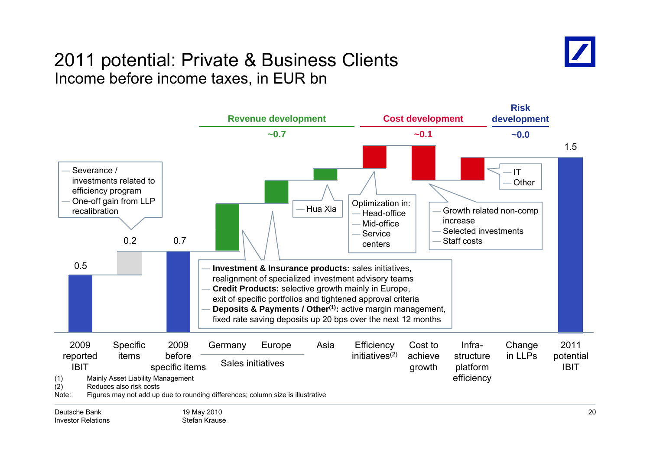### 2011 potential: Private & Business Clients Income before income taxes, in EUR bn

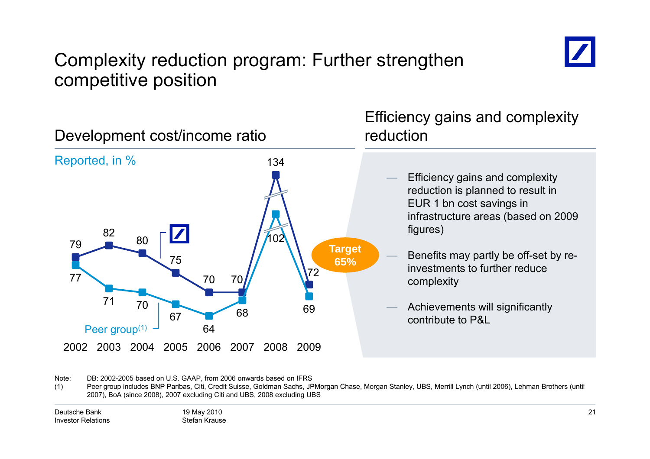

### Complexity reduction program: Further strengthen competitive position



Note: DB: 2002-2005 based on U.S. GAAP, from 2006 onwards based on IFRS

(1) Peer group includes BNP Paribas, Citi, Credit Suisse, Goldman Sachs, JPMorgan Chase, Morgan Stanley, UBS, Merrill Lynch (until 2006), Lehman Brothers (until 2007), BoA (since 2008), 2007 excluding Citi and UBS, 2008 excluding UBS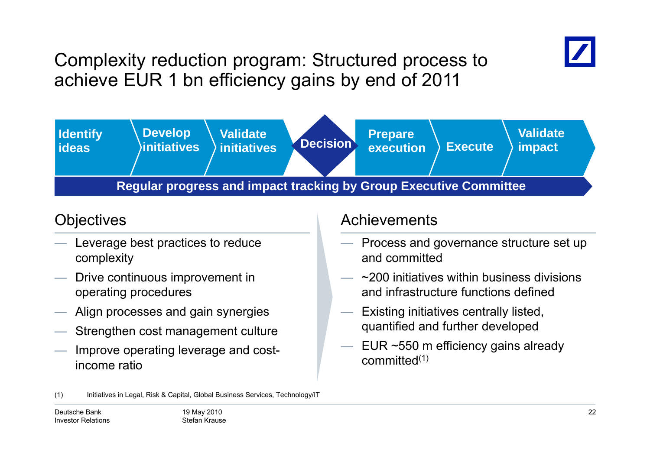

Complexity reduction program: Structured process to achieve EUR 1 bn efficiency gains by end of 2011



- Leverage best practices to reduce complexity
- —— Drive continuous improvement in operating procedures
- Align processes and gain synergies
- Strengthen cost management culture
- Improve operating leverage and costincome ratio

### Objectives and a control of the Achievements

- Process and governance structure set up and committed
- $\sim$ 200 initiatives within business divisions and infrastructure functions defined
- Existing initiatives centrally listed, quantified and further developed
- EUR ~550 m efficiency gains already committed(1)

<sup>(1)</sup> Initiatives in Legal, Risk & Capital, Global Business Services, Technology/IT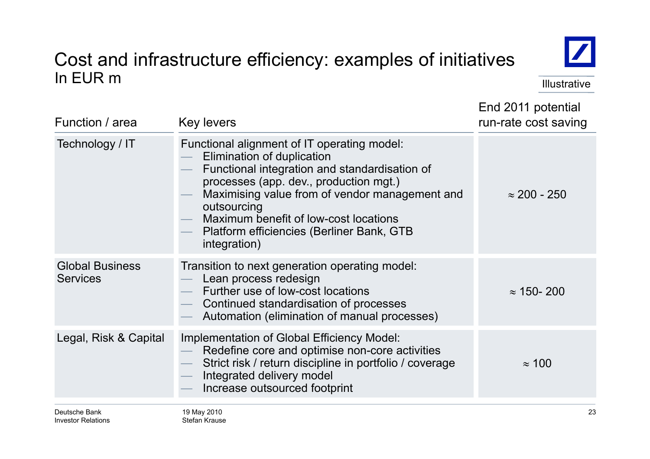### Cost and infrastructure efficiency: examples of initiatives In EUR m Illustrative in the second service in the second service in the service in the lillustrative



End 2011 potential

| Function / area                           | <b>Key levers</b>                                                                                                                                                                                                                                                                                                                           | run-rate cost saving |
|-------------------------------------------|---------------------------------------------------------------------------------------------------------------------------------------------------------------------------------------------------------------------------------------------------------------------------------------------------------------------------------------------|----------------------|
| Technology / IT                           | Functional alignment of IT operating model:<br>Elimination of duplication<br>Functional integration and standardisation of<br>processes (app. dev., production mgt.)<br>Maximising value from of vendor management and<br>outsourcing<br>Maximum benefit of low-cost locations<br>Platform efficiencies (Berliner Bank, GTB<br>integration) | $\approx$ 200 - 250  |
| <b>Global Business</b><br><b>Services</b> | Transition to next generation operating model:<br>Lean process redesign<br>Further use of low-cost locations<br>Continued standardisation of processes<br>Automation (elimination of manual processes)                                                                                                                                      | $\approx$ 150-200    |
| Legal, Risk & Capital                     | Implementation of Global Efficiency Model:<br>Redefine core and optimise non-core activities<br>Strict risk / return discipline in portfolio / coverage<br>Integrated delivery model<br>Increase outsourced footprint                                                                                                                       | $\approx$ 100        |
| Deutsche Bank                             | 19 May 2010                                                                                                                                                                                                                                                                                                                                 | 23                   |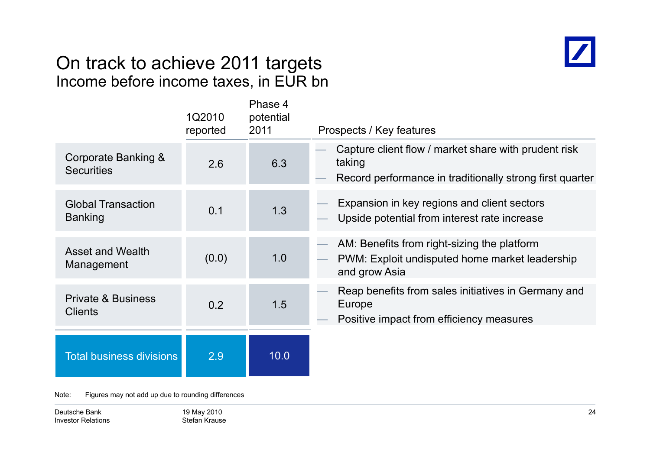### On track to achieve 2011 tar gets Income before income taxes, in EUR bn



|                                                 | 1Q2010<br>reported | Phase 4<br>potential<br>2011 | Prospects / Key features                                                                                                   |
|-------------------------------------------------|--------------------|------------------------------|----------------------------------------------------------------------------------------------------------------------------|
| Corporate Banking &<br><b>Securities</b>        | 2.6                | 6.3                          | Capture client flow / market share with prudent risk<br>taking<br>Record performance in traditionally strong first quarter |
| <b>Global Transaction</b><br><b>Banking</b>     | 0.1                | 1.3                          | Expansion in key regions and client sectors<br>Upside potential from interest rate increase                                |
| <b>Asset and Wealth</b><br>Management           | (0.0)              | 1.0                          | AM: Benefits from right-sizing the platform<br>PWM: Exploit undisputed home market leadership<br>and grow Asia             |
| <b>Private &amp; Business</b><br><b>Clients</b> | 0.2                | 1.5                          | Reap benefits from sales initiatives in Germany and<br>Europe<br>Positive impact from efficiency measures                  |
| <b>Total business divisions</b>                 | 2.9                | 10.0                         |                                                                                                                            |

Note: Figures may not add up due to rounding differences

Deutsche BankInvestor Relations 19 May 2010 Stefan Krause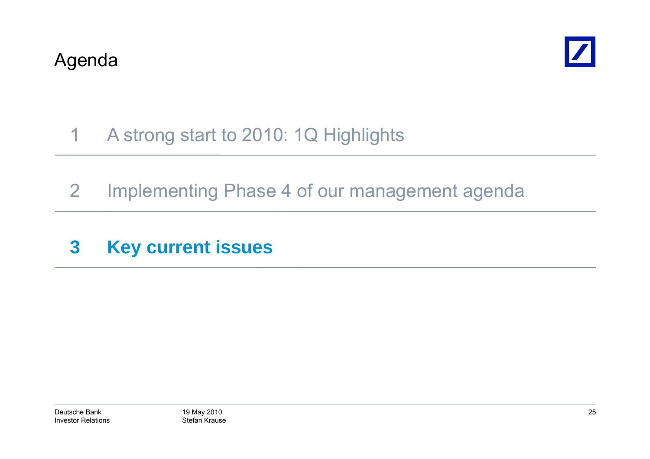

### 1A strong start to 2010: 1Q Highlights

- 2 Implementing Phase 4 of our management agenda
- **3 Key current issues**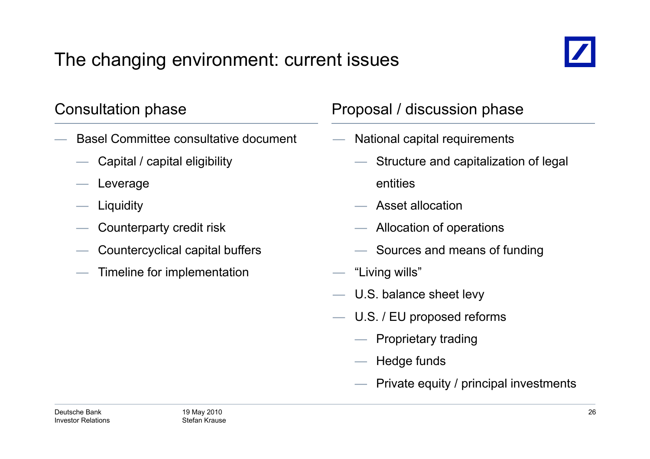## The changing environment: current issues



- Basel Committee consultative document
	- Capital / capital eligibility
	- Leverage
	- Liquidity
	- $\hspace{.1cm}$  Counterparty credit risk  $\hspace{.1cm}$   $\hspace{.1cm}$
	- Countercyclical capital buffers
	- Timeline for implementation

### Consultation phase **Proposal / discussion phase**

- National capital requirements
	- Structure and capitalization of legal entities
	- $-$  Asset allocation
	- $-$  Allocation of operations
	- Sources and means of funding
- "Living wills"
- U.S. balance sheet levy
- — U.S. / EU proposed reforms
	- Proprietary trading
	- Hedge funds
	- Private equity / principal investments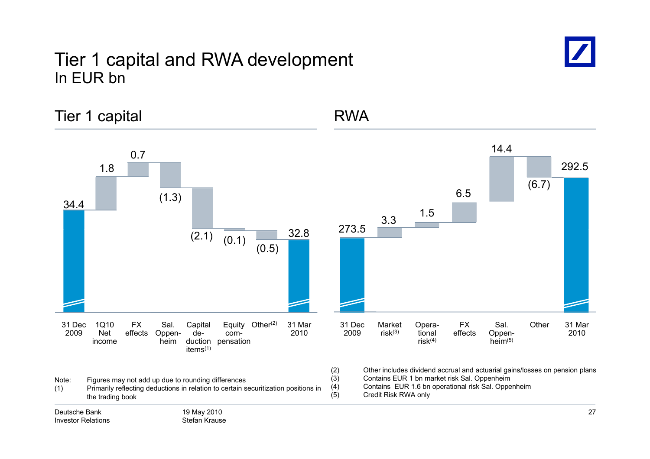### Tier 1 capital and RWA development In EUR bn



Tier 1 capital and 1 and 1 and 1 and 1 and 1 and 1 and 1 and 1 and 1 and 1 and 1 and 1 and 1 and 1 and 1 and 1 1.8 0.77 and 14.4 292.534.4 (1.3) 32 8 <sup>273</sup> <sup>5</sup> 3.3 1.5 6.5 (6.7)  $(2.1)$   $(0.1)$   $(0.5)$   $(0.5)$   $(0.5)$   $(0.6)$   $(0.7)$   $(0.6)$   $(0.8)$   $(0.7)$   $(0.8)$   $(0.8)$   $(0.9)$   $(0.9)$   $(0.9)$   $(0.9)$   $(0.1)$   $(0.9)$   $(0.1)$   $(0.9)$   $(0.1)$   $(0.9)$   $(0.1)$   $(0.9)$   $(0.1)$   $(0.9)$   $(0.1)$   $(0.9$ 200931 Mar20101Q10 NetFX effects Oppen-Equity Other<sup>(2)</sup> com-Capital de- Other Sal. (2) Oppen- 31 Dec <sup>2009</sup> Opera- tional 31 Mar <sup>2010</sup> Sal. Oppen- Market Other risk(3) FX effects income duction pensation items(1) heim2009 Net effects Oppen- de-<br>
income heim duction pensation items<sup>(1)</sup><br>
Note: Figures may not add up due to rounding differences (3) Other includes dividend accrual and actuarial gai (2) Other includes dividend accrual and actuarial gains/losses on pension plans (3) Contains EUR 1 bn market risk Sal. Oppenheim<br>(4) Contains EUR 1.6 bn operational risk Sal. Oppe (4) Contains EUR 1 6 bn operational risk Sal Oppenheim 1.6 Sal. (5) Credit Risk RWA only19 May 2010 Stefan KrauseDeutsche BankInvestor Relations27(1) Primarily reflecting deductions in relation to certain securitization positions in the trading book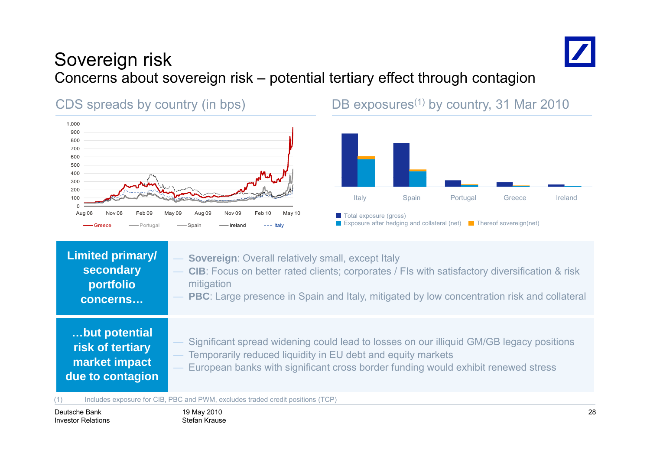

### Sovereign risk Concerns about sovereign risk – potential tertiary effect through contagion



CDS spreads by country (in bps) DB exposures<sup>(1)</sup> by country, 31 Mar 2010



| <b>Limited primary/</b><br>secondary<br>portfolio<br>concerns          | <b>Sovereign: Overall relatively small, except Italy</b><br>- CIB: Focus on better rated clients; corporates / FIs with satisfactory diversification & risk<br>mitigation<br>- PBC: Large presence in Spain and Italy, mitigated by low concentration risk and collateral |
|------------------------------------------------------------------------|---------------------------------------------------------------------------------------------------------------------------------------------------------------------------------------------------------------------------------------------------------------------------|
| but potential<br>risk of tertiary<br>market impact<br>due to contagion | - Significant spread widening could lead to losses on our illiquid GM/GB legacy positions<br>- Temporarily reduced liquidity in EU debt and equity markets<br>- European banks with significant cross border funding would exhibit renewed stress                         |

(1) Includes exposure for CIB, PBC and PWM, excludes traded credit positions (TCP)

Deutsche BankInvestor Relations 19 May 2010 Stefan Krause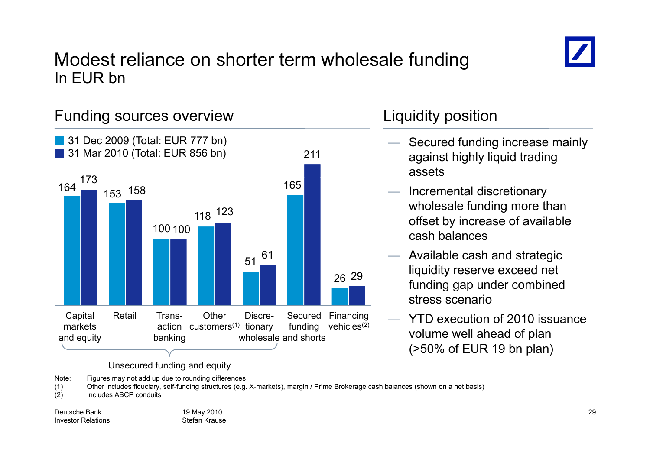

### Modest reliance on shorter term wholesale funding In EUR bn



Note: Figures may not add up due to rounding differences

(1) Other includes fiduciary, self-funding structures (e.g. X-markets), margin / Prime Brokerage cash balances (shown on a net basis)

(2) Includes ABCP conduits

- Secured funding increase mainly against highly liquid trading assets
- Incremental discretionary wholesale funding more than offset by increase of available cash balances
- Available cash and strategic liquidity reserve exceed net funding gap under combined stress scenario
- YTD execution of 2010 issuance (>50% of EUR 19 bn plan)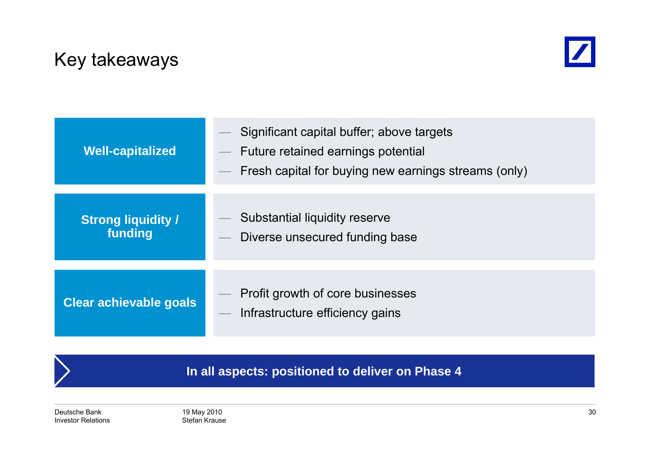### Key takeaways



| <b>Well-capitalized</b>              | Significant capital buffer; above targets<br>Future retained earnings potential<br>Fresh capital for buying new earnings streams (only) |
|--------------------------------------|-----------------------------------------------------------------------------------------------------------------------------------------|
| <b>Strong liquidity /</b><br>funding | Substantial liquidity reserve<br>Diverse unsecured funding base                                                                         |
| Clear achievable goals               | Profit growth of core businesses<br>Infrastructure efficiency gains                                                                     |

**In all aspects: positioned to deliver on Phase 4**